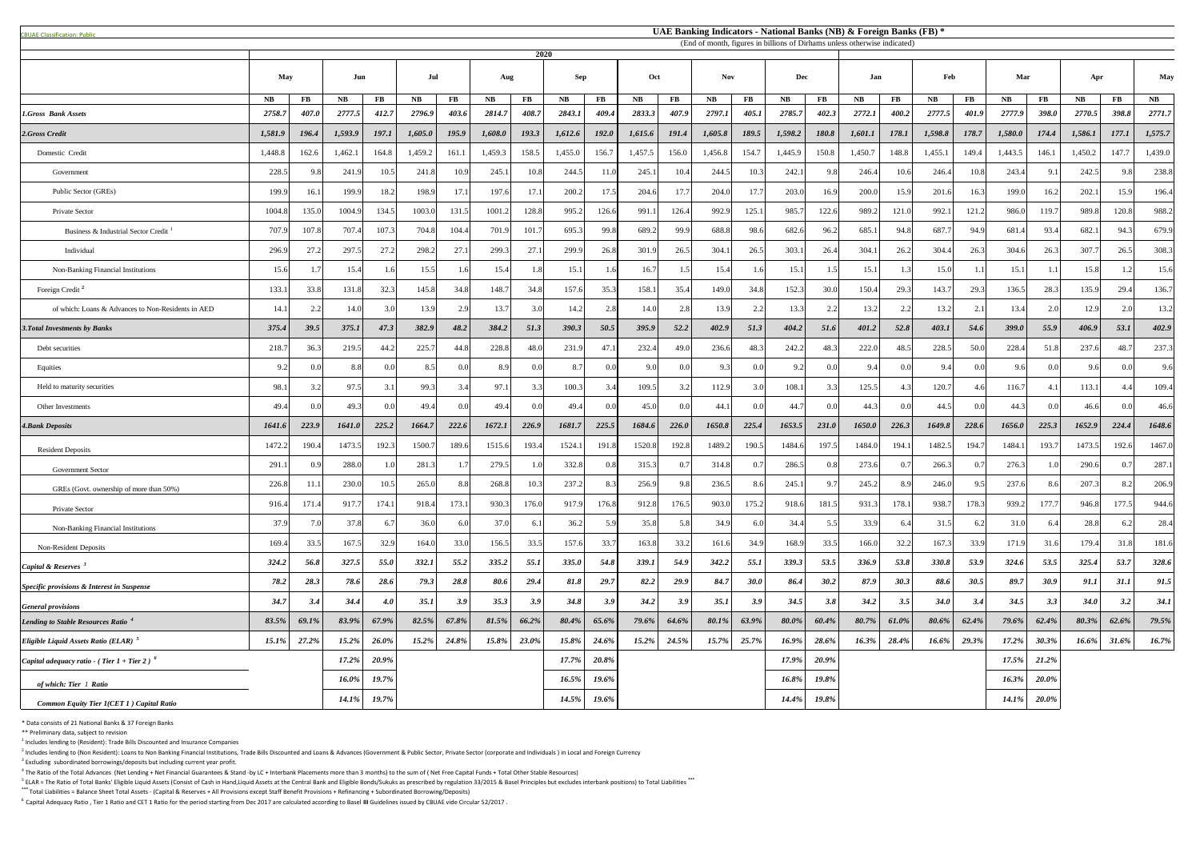<sup>5</sup> ELAR = The Ratio of Total Banks' Eligible Liquid Assets (Consist of Cash in Hand,Liquid Assets at the Central Bank and Eligible Bonds/Sukuks as prescribed by regulation 33/2015 & Basel Principles but excludes interbank **\*\*\*** Total Liabilities = Balance Sheet Total Assets - (Capital & Reserves + All Provisions except Staff Benefit Provisions + Refinancing + Subordinated Borrowing/Deposits)

| <b>CBUAE Classification: Public</b>                       | UAE Banking Indicators - National Banks (NB) & Foreign Banks (FB) *<br>(End of month, figures in billions of Dirhams unless otherwise indicated) |           |           |            |              |           |           |          |            |              |           |                     |            |               |            |                  |           |               |           |                     |          |                      |             |          |               |
|-----------------------------------------------------------|--------------------------------------------------------------------------------------------------------------------------------------------------|-----------|-----------|------------|--------------|-----------|-----------|----------|------------|--------------|-----------|---------------------|------------|---------------|------------|------------------|-----------|---------------|-----------|---------------------|----------|----------------------|-------------|----------|---------------|
|                                                           |                                                                                                                                                  |           |           |            |              |           |           | 2020     |            |              |           |                     |            |               |            |                  |           |               |           |                     |          |                      |             |          |               |
|                                                           | <b>May</b>                                                                                                                                       |           | Jun       |            | Jul          |           | Aug       |          | <b>Sep</b> |              | Oct       |                     | <b>Nov</b> |               | <b>Dec</b> |                  | Jan       |               | Feb       |                     | Mar      |                      | Apr         |          | <b>May</b>    |
|                                                           | <b>NB</b>                                                                                                                                        | <b>FB</b> | <b>NB</b> | $\bf FB$   | $N_{\rm{B}}$ | <b>FB</b> | <b>NB</b> | $\bf FB$ | <b>NB</b>  | <b>FB</b>    | <b>NB</b> | <b>FB</b>           | NB         | $\mathbf{FB}$ | <b>NB</b>  | $\bf FB$         | <b>NB</b> | $\mathbf{FB}$ | <b>NB</b> | $\bf FB$            | NB       | $\bf FB$             | <b>NB</b>   | $\bf FB$ | $N\mathbf{B}$ |
| 1.Gross Bank Assets                                       | 2758.7                                                                                                                                           | 407.0     | 2777.5    | 412.7      | 2796.9       | 403.6     | 2814.7    | 408.7    | 2843.1     | 409.4        | 2833.3    | 407.9               | 2797.1     | 405.1         | 2785.7     | 402.3            | 2772.1    | 400.2         | 2777.5    | 401.9               | 2777.9   | 398.0                | 2770.5      | 398.8    | 2771.7        |
| 2.Gross Credit                                            | 1,581.9                                                                                                                                          | 196.4     | 1,593.9   | 197.1      | 1,605.0      | 195.9     | 1,608.0   | 193.3    | 1,612.6    | <b>192.0</b> | 1,615.6   | 191.4               | 1,605.8    | 189.5         | 1,598.2    | 180.8            | 1,601.1   | 178.1         | 1,598.8   | 178.7               | 1,580.0  | 174.4                | 1,586.1     | 177.1    | 1,575.7       |
| Domestic Credit                                           | 1,448.8                                                                                                                                          | 162.6     | 1,462.1   | 164.8      | 1,459.2      | 161.1     | 1,459.3   | 158.5    | 1,455.0    | 156.7        | 1,457.5   | 156.0               | 1,456.8    | 154.7         | 1,445.9    | 150.8            | 1,450.7   | 148.8         | 1,455.1   | 149.4               | 1,443.5  | 146.1                | 1,450.2     | 147.7    | 1,439.0       |
| Government                                                | 228.5                                                                                                                                            | 9.8       | 241.9     | 10.5       | 241.8        | 10.9      | 245.1     | 10.8     | 244.5      | 11.0         | 245.1     | 10.4                | 244.5      | 10.3          | 242.1      | 9.8              | 246.4     | 10.6          | 246.4     | 10.8                | 243.4    | 9.1                  | 242.5       | 9.8      | 238.8         |
| Public Sector (GREs)                                      | 199.9                                                                                                                                            | 16.       | 199.9     | 18.2       | 198.9        | 17.1      | 197.6     | 17.1     | 200.2      | 17.5         | 204.6     | 17.7                | 204.0      | 17.7          | 203.0      | 16.9             | 200.0     | 15.9          | 201.6     | 16.3                | 199.0    | 16.2                 | 202.1       | 15.9     | 196.4         |
| Private Sector                                            | 1004.8                                                                                                                                           | 135.0     | 1004.9    | 134.5      | 1003.0       | 131.5     | 1001.2    | 128.8    | 995.2      | 126.6        | 991.1     | 126.4               | 992.9      | 125.1         | 985.7      | 122.6            | 989.2     | 121.0         | 992.      | 121.                | 986.0    | 119.7                | 989.8       | 120.8    | 988.2         |
| Business & Industrial Sector Credit                       | 707.9                                                                                                                                            | 107.8     | 707.4     | 107.       | 704.8        | 104.4     | 701.9     | 101.7    | 695.3      | 99.8         | 689.2     | 99.9                | 688.8      | 98.6          | 682.6      | 96.2             | 685.      | 94.8          | 687.      | 94.9                | 681.4    | 93.4                 | 682.1       | 94.3     | 679.9         |
| Individual                                                | 296.9                                                                                                                                            | 27.2      | 297.5     | 27.2       | 298.2        | 27.1      | 299.3     | 27.      | 299.9      | 26.8         | 301.9     | 26.5                | 304.       | 26.5          | 303.1      | 26.4             | 304.      | 26.2          | 304.4     | 26.3                | 304.6    | 26.3                 | 307.        | 26.5     | 308.3         |
| Non-Banking Financial Institutions                        | 15.6                                                                                                                                             |           | 15.4      |            | 15.5         | 1.6       | 15.4      | ∣ R      | 15.1       | 1.6          | 16.7      |                     | 15.4       | 1.6           | 15.1       |                  | 15.1      |               | 15.0      |                     | 15.1     |                      | 15.8        |          | 15.6          |
| Foreign Credit <sup>2</sup>                               | 133.                                                                                                                                             | 33.8      | 131.8     | 32.3       | 145.8        | 34.8      | 148.7     | 34.8     | 157.6      | 35.3         | 158.1     | 35.4                | 149.0      | 34.8          | 152.3      | 30.0             | 150.4     | 29.3          | 143.7     | 29.3                | 136.5    | 28.3                 | 135.9       | 29.4     | 136.7         |
| of which: Loans & Advances to Non-Residents in AED        | 14.1                                                                                                                                             | 2.2       | 14.0      | 3.0        | 13.9         | 2.9       | 13.7      | 3.0      | 14.2       | 2.8          | 14.0      | 2.8                 | 13.9       | 2.2           | 13.3       | 2.2              | 13.2      | 2.2           | 13.2      | 2.1                 | 13.4     | 2.0                  | 12.9        | 2.0      | 13.2          |
| <b>3. Total Investments by Banks</b>                      | 375.4                                                                                                                                            | 39.5      | 375.1     | 47.3       | 382.9        | 48.2      | 384.2     | 51.3     | 390.3      | 50.5         | 395.9     | 52.2                | 402.9      | 51.3          | 404.2      | 51.6             | 401.2     | 52.8          | 403.1     | 54.6                | 399.0    | 55.9                 | 406.9       | 53.1     | 402.9         |
| Debt securities                                           | 218.                                                                                                                                             | 36.3      | 219.5     | 44.        | 225.7        | 44.8      | 228.8     | 48.0     | 231.9      | 47.1         | 232.4     | 49.0                | 236.6      | 48.3          | 242.2      | 48.3             | 222.0     | 48.5          | 228.5     | 50.0                | 228.4    | 51.8                 | 237.6       | 48.7     | 237.3         |
| Equities                                                  | 92                                                                                                                                               | 0.0       | 8.8       | 0.0        | 8.5          | 0.0       | 8.9       | 0.0      | 8.7        | 0.0          | 9.0       | 0.0                 | 9.3        | 0.0           | 9.2        | 0.0              |           | 0.0           | 9.4       | 0.0                 | 9.6      | 0.0                  | 96          | 0.0      |               |
| Held to maturity securities                               | 98.1                                                                                                                                             | 3.2       | 97.5      |            | 99.3         | 3.4       | 97.1      | 3.3      | 100.3      | 3.4          | 109.5     |                     | 112.9      | 3.0           | 108.1      | 3.3              | 125.5     | 43            | 120.7     | 4.6                 | 116.7    | $\left( 4.1 \right)$ | 113.1       | 4.4      | 109.4         |
| Other Investments                                         | 49.4                                                                                                                                             | 0.0       | 49.3      | 0.01       | 49.4         | 0.0       | 49.4      | 0.01     | 49.4       | 0.0          | 45.0      | 0.01                | 44.        | 0.0           | 44.7       | 0.0 <sub>l</sub> | 44.3      | 0.0           | 44.5      | 0.01                | 44.3     | 0.0                  | 46.6        | 0.0      | 46.6          |
| <b>4.Bank Deposits</b>                                    | 1641.6                                                                                                                                           | 223.9     | 1641.0    | 225.2      | 1664.7       | 222.6     | 1672.1    | 226.9    | 1681.7     | 225.5        | 1684.6    | 226.0               | 1650.8     | 225.4         | 1653.5     | 231.0            | 1650.0    | 226.3         | 1649.8    | 228.6               | 1656.0   | 225.3                | 1652.9      | 224.4    | 1648.6        |
| <b>Resident Deposits</b>                                  | 1472.2                                                                                                                                           | 190.4     | 1473.5    | 192.       | 1500.        | 189.6     | 1515.6    | 193.4    | 1524.      | 191.8        | 1520.8    | 192.8               | 1489.2     | 190.5         | 1484.6     | 197.5            | 1484.0    | 194.          | 1482.5    | 194.                | 1484.    | 193.7                | 1473.5      | 192.6    | 1467.0        |
| <b>Government Sector</b>                                  | 291.                                                                                                                                             | 0.9       | 288.0     |            | 281.3        |           | 279.5     | 1.0      | 332.8      | 0.8          | 315.3     | $\hspace{0.1cm}0.7$ | 314.8      | 0.7           | 286.5      | 0.8              | 273.6     | 0.7           | 266.3     | $\hspace{0.1cm}0.7$ | 276.3    | 1.0                  | 290.6       | 0.7      | 287.          |
| GREs (Govt. ownership of more than 50%)                   | 226.8                                                                                                                                            |           | 230.0     | 10.5       | 265.0        | 8.8       | 268.8     | 10.3     | 237.2      | 8.3          | 256.9     | 9.8                 | 236.5      | 8.6           | 245.1      | 9.7              | 245.2     | 8.9           | 246.0     | 9.5                 | 237.6    | 8.6                  | 207.3       | 8.2      | 206.9         |
| Private Sector                                            | 916.4                                                                                                                                            | 171.      | 917.      | 174.       | 918.4        | 173.1     | 930.3     | 176.0    | 917.9      | 176.8        | 912.8     | 176.5               | 903.0      | 175.2         | 918.6      | 181.5            | 931.      | 178.1         | 938.7     | 178.3               | 939.2    | 177.7                | 946.8       | 177.5    | 944.6         |
| Non-Banking Financial Institutions                        | 37.9                                                                                                                                             | 7.0       | 37.8      | -6.        | 36.0         | 6.0       | 37.0      | 6.       | 36.2       | 5.9          | 35.8      | 5.8                 | 34.9       | 6.0           | 34.4       | 5.5              | 33.9      | 6.4           | 31.5      | 6.2                 | 31.0     | 6.4                  | 28.8        | 6.2      | 28.4          |
| <b>Non-Resident Deposits</b>                              | 169.4                                                                                                                                            | 33.5      | 167.5     | 32.9       | 164.0        | 33.0      | 156.5     | 33.5     | 157.6      | 33.7         | 163.8     | 33.2                | 161.6      | 34.9          | 168.9      | 33.5             | 166.0     | 32.2          | 167.3     | 33.9                | 171.9    | 31.6                 | 179.4       | 31.8     | 181.6         |
| Capital & Reserves <sup>3</sup>                           | 324.2                                                                                                                                            | 56.8      | 327.5     | 55.0       | 332.1        | 55.2      | 335.2     | 55.1     | 335.0      | 54.8         | 339.1     | 54.9                | 342.2      | 55.1          | 339.3      | 53.5             | 336.9     | 53.8          | 330.8     | 53.9                | 324.6    | 53.5                 | 325.4       | 53.7     | 328.6         |
| Specific provisions & Interest in Suspense                | 78.2                                                                                                                                             | 28.3      | 78.6      | 28.6       | 79.3         | 28.8      | 80.6      | 29.4     | 81.8       | 29.7         | 82.2      | 29.9                | 84.7       | <b>30.0</b>   | 86.4       | 30.2             | 87.9      | 30.3          | 88.6      | 30.5                | 89.7     | 30.9                 | 91.1        | 31.1     | 91.5          |
| <b>General provisions</b>                                 | 34.7                                                                                                                                             | 3.4       | 34.4      | <b>4.0</b> | 35.1         | 3.9       | 35.3      | 3.9      | 34.8       | 3.9          | 34.2      | 3.9                 | 35.1       | 3.9           | 34.5       | 3.8              | 34.2      | 3.5           | 34.0      | 3.4                 | 34.5     | 3.3                  | <b>34.0</b> | 3.2      | 34.1          |
| Lending to Stable Resources Ratio <sup>4</sup>            | 83.5%                                                                                                                                            | 69.1%     | 83.9%     | 67.9%      | 82.5%        | 67.8%     | 81.5%     | 66.2%    | $80.4\%$   | 65.6%        | 79.6%     | 64.6%               | 80.1%      | 63.9%         | 80.0%      | 60.4%            | 80.7%     | 61.0%         | 80.6%     | 62.4%               | 79.6%    | 62.4%                | 80.3%       | 62.6%    | 79.5%         |
| <i>Eligible Liquid Assets Ratio (ELAR)</i>                | 15.1%                                                                                                                                            | 27.2%     | 15.2%     | 26.0%      | $15.2\%$     | 24.8%     | 15.8%     | 23.0%    | 15.8%      | 24.6%        | 15.2%     | 24.5%               | 15.7%      | 25.7%         | 16.9%      | 28.6%            | $16.3\%$  | 28.4%         | 16.6%     | 29.3%               | 17.2%    | 30.3%                | 16.6%       | 31.6%    | $16.7\%$      |
| Capital adequacy ratio - (Tier $1 +$ Tier 2) <sup>6</sup> |                                                                                                                                                  |           | 17.2%     | 20.9%      |              |           |           |          | 17.7%      | 20.8%        |           |                     |            |               | 17.9%      | 20.9%            |           |               |           |                     | 17.5%    | 21.2%                |             |          |               |
| of which: Tier 1 Ratio                                    |                                                                                                                                                  |           | 16.0%     | 19.7%      |              |           |           |          | 16.5%      | 19.6%        |           |                     |            |               | 16.8%      | 19.8%            |           |               |           |                     | $16.3\%$ | 20.0%                |             |          |               |
| <b>Common Equity Tier 1(CET 1) Capital Ratio</b>          |                                                                                                                                                  |           | 14.1%     | 19.7%      |              |           |           |          | 14.5%      | 19.6%        |           |                     |            |               | 14.4%      | 19.8%            |           |               |           |                     | $14.1\%$ | $20.0\%$             |             |          |               |

\* Data consists of 21 National Banks & 37 Foreign Banks

\*\* Preliminary data, subject to revision

 $<sup>1</sup>$  Includes lending to (Resident): Trade Bills Discounted and Insurance Companies</sup>

 $^2$  Includes lending to (Non Resident): Loans to Non Banking Financial Institutions, Trade Bills Discounted and Loans & Advances (Government & Public Sector, Private Sector (corporate and Individuals) in Local and Foreig  $3$  Excluding subordinated borrowings/deposits but including current year profit.

 $^4$  The Ratio of the Total Advances (Net Lending + Net Financial Guarantees & Stand -by LC + Interbank Placements more than 3 months) to the sum of (Net Free Capital Funds + Total Other Stable Resources)

<sup>6</sup>Capital Adequacy Ratio , Tier 1 Ratio and CET 1 Ratio for the period starting from Dec 2017 are calculated according to Basel **III** Guidelines issued by CBUAE vide Circular 52/2017 .